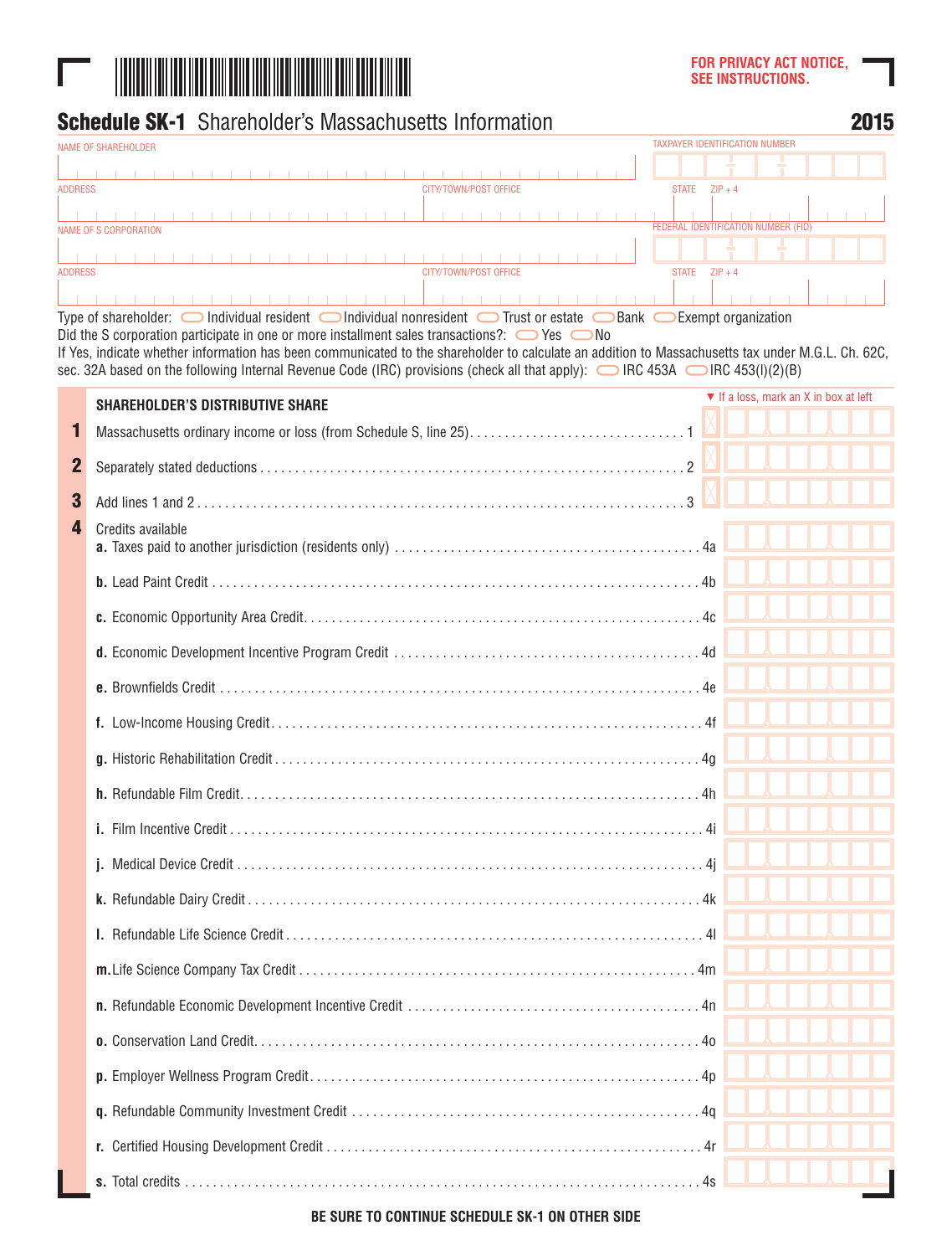

|                | <b>Schedule SK-1</b> Shareholder's Massachusetts Information                                                                                                                                                                                                                                                                                                                                        |                                                          | 2015 |
|----------------|-----------------------------------------------------------------------------------------------------------------------------------------------------------------------------------------------------------------------------------------------------------------------------------------------------------------------------------------------------------------------------------------------------|----------------------------------------------------------|------|
|                | <b>NAME OF SHAREHOLDER</b>                                                                                                                                                                                                                                                                                                                                                                          | <b>TAXPAYER IDENTIFICATION NUMBER</b>                    |      |
|                |                                                                                                                                                                                                                                                                                                                                                                                                     |                                                          |      |
| <b>ADDRESS</b> |                                                                                                                                                                                                                                                                                                                                                                                                     | STATE $ZIP + 4$                                          |      |
|                | NAME OF S CORPORATION                                                                                                                                                                                                                                                                                                                                                                               | FEDERAL IDENTIFICATION NUMBER (FID)                      |      |
|                |                                                                                                                                                                                                                                                                                                                                                                                                     |                                                          |      |
| <b>ADDRESS</b> | CITY/TOWN/POST OFFICE                                                                                                                                                                                                                                                                                                                                                                               | STATE $ZIP + 4$                                          |      |
|                | .<br>.<br>Type of shareholder: $\bigcirc$ Individual resident $\bigcirc$ Individual nonresident $\bigcirc$ Trust or estate $\bigcirc$ Bank $\bigcirc$ Exempt organization                                                                                                                                                                                                                           |                                                          |      |
|                | Did the S corporation participate in one or more installment sales transactions?: $\bigcirc$ Yes $\bigcirc$ No<br>If Yes, indicate whether information has been communicated to the shareholder to calculate an addition to Massachusetts tax under M.G.L. Ch. 62C,<br>sec. 32A based on the following Internal Revenue Code (IRC) provisions (check all that apply): C IRC 453A C IRC 453(I)(2)(B) |                                                          |      |
|                | <b>SHAREHOLDER'S DISTRIBUTIVE SHARE</b>                                                                                                                                                                                                                                                                                                                                                             | $\blacktriangledown$ If a loss, mark an X in box at left |      |
| П              |                                                                                                                                                                                                                                                                                                                                                                                                     |                                                          |      |
|                |                                                                                                                                                                                                                                                                                                                                                                                                     |                                                          |      |
| $\mathbf 2$    |                                                                                                                                                                                                                                                                                                                                                                                                     |                                                          |      |
| 3              |                                                                                                                                                                                                                                                                                                                                                                                                     |                                                          |      |
| 4              | Credits available                                                                                                                                                                                                                                                                                                                                                                                   |                                                          |      |
|                |                                                                                                                                                                                                                                                                                                                                                                                                     |                                                          |      |
|                |                                                                                                                                                                                                                                                                                                                                                                                                     |                                                          |      |
|                |                                                                                                                                                                                                                                                                                                                                                                                                     |                                                          |      |
|                |                                                                                                                                                                                                                                                                                                                                                                                                     |                                                          |      |
|                |                                                                                                                                                                                                                                                                                                                                                                                                     |                                                          |      |
|                |                                                                                                                                                                                                                                                                                                                                                                                                     |                                                          |      |
|                |                                                                                                                                                                                                                                                                                                                                                                                                     |                                                          |      |
|                |                                                                                                                                                                                                                                                                                                                                                                                                     |                                                          |      |
|                |                                                                                                                                                                                                                                                                                                                                                                                                     |                                                          |      |
|                |                                                                                                                                                                                                                                                                                                                                                                                                     |                                                          |      |
|                |                                                                                                                                                                                                                                                                                                                                                                                                     |                                                          |      |
|                |                                                                                                                                                                                                                                                                                                                                                                                                     |                                                          |      |
|                |                                                                                                                                                                                                                                                                                                                                                                                                     |                                                          |      |
|                |                                                                                                                                                                                                                                                                                                                                                                                                     |                                                          |      |
|                |                                                                                                                                                                                                                                                                                                                                                                                                     |                                                          |      |
|                |                                                                                                                                                                                                                                                                                                                                                                                                     |                                                          |      |
|                |                                                                                                                                                                                                                                                                                                                                                                                                     |                                                          |      |
|                |                                                                                                                                                                                                                                                                                                                                                                                                     |                                                          |      |
|                |                                                                                                                                                                                                                                                                                                                                                                                                     |                                                          |      |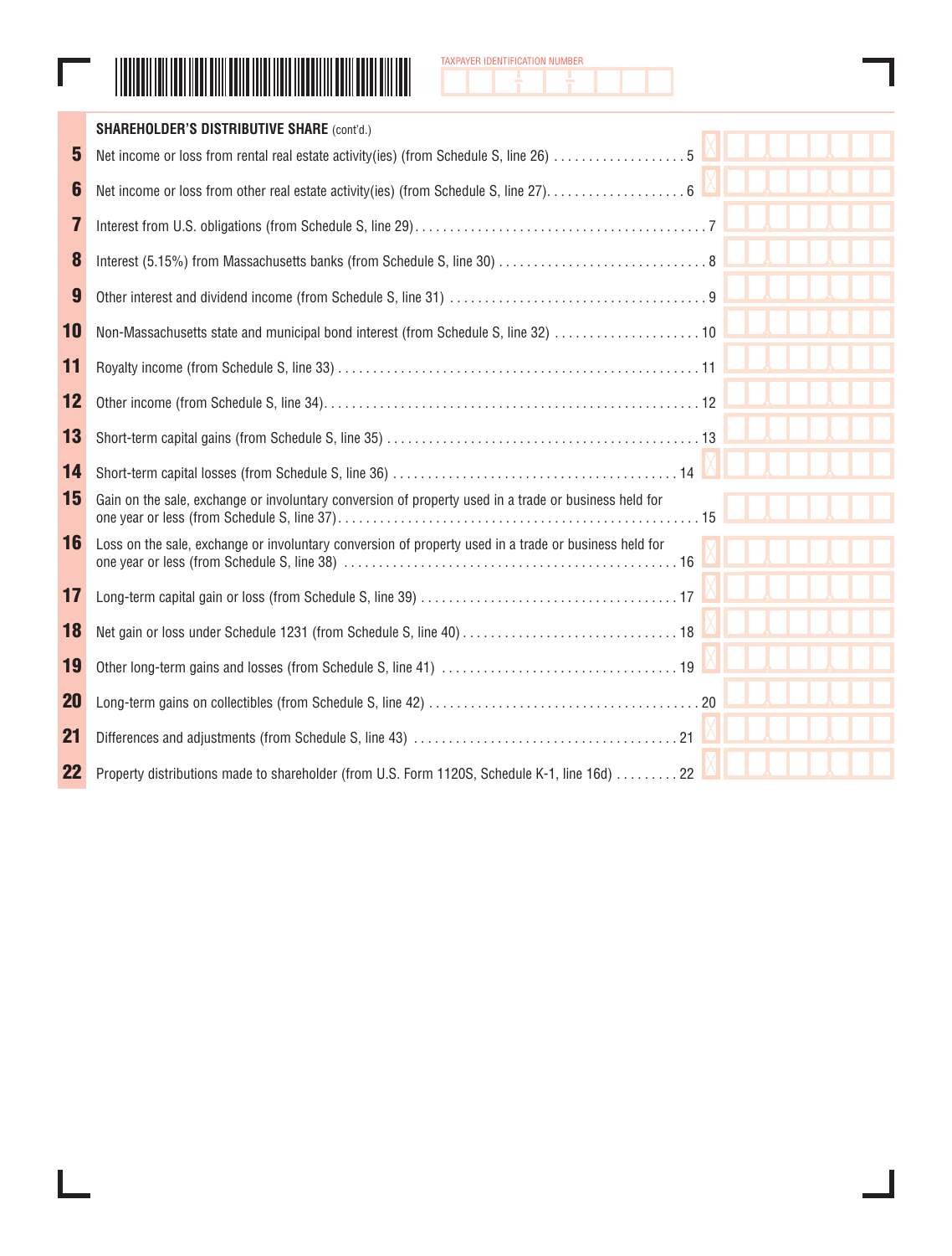|--|

**Contract** 



|           | <b>SHAREHOLDER'S DISTRIBUTIVE SHARE (cont'd.)</b>                                                     |  |
|-----------|-------------------------------------------------------------------------------------------------------|--|
| 5         | Net income or loss from rental real estate activity(ies) (from Schedule S, line 26) 5                 |  |
| 6         |                                                                                                       |  |
| 7         |                                                                                                       |  |
| 8         |                                                                                                       |  |
| 9         |                                                                                                       |  |
| 10        |                                                                                                       |  |
| 11        |                                                                                                       |  |
| 12        |                                                                                                       |  |
| 13        |                                                                                                       |  |
| 14        |                                                                                                       |  |
| 15        | Gain on the sale, exchange or involuntary conversion of property used in a trade or business held for |  |
| 16        | Loss on the sale, exchange or involuntary conversion of property used in a trade or business held for |  |
| 17        |                                                                                                       |  |
| 18        |                                                                                                       |  |
| 19        |                                                                                                       |  |
| <b>20</b> |                                                                                                       |  |
| 21        |                                                                                                       |  |
| 22        | Property distributions made to shareholder (from U.S. Form 1120S, Schedule K-1, line 16d)  22         |  |